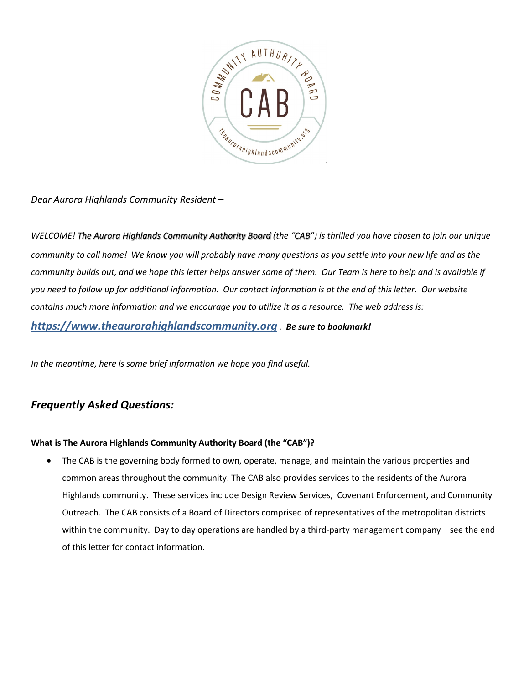

*Dear Aurora Highlands Community Resident –*

*WELCOME! The Aurora Highlands Community Authority Board (the "CAB") is thrilled you have chosen to join our unique community to call home! We know you will probably have many questions as you settle into your new life and as the community builds out, and we hope this letter helps answer some of them. Our Team is here to help and is available if you need to follow up for additional information. Our contact information is at the end of this letter. Our website contains much more information and we encourage you to utilize it as a resource. The web address is:*

*https://www.theaurorahighlandscommunity.org . Be sure to bookmark!*

*In the meantime, here is some brief information we hope you find useful.*

# *Frequently Asked Questions:*

## **What is The Aurora Highlands Community Authority Board (the "CAB")?**

• The CAB is the governing body formed to own, operate, manage, and maintain the various properties and common areas throughout the community. The CAB also provides services to the residents of the Aurora Highlands community. These services include Design Review Services, Covenant Enforcement, and Community Outreach. The CAB consists of a Board of Directors comprised of representatives of the metropolitan districts within the community. Day to day operations are handled by a third-party management company – see the end of this letter for contact information.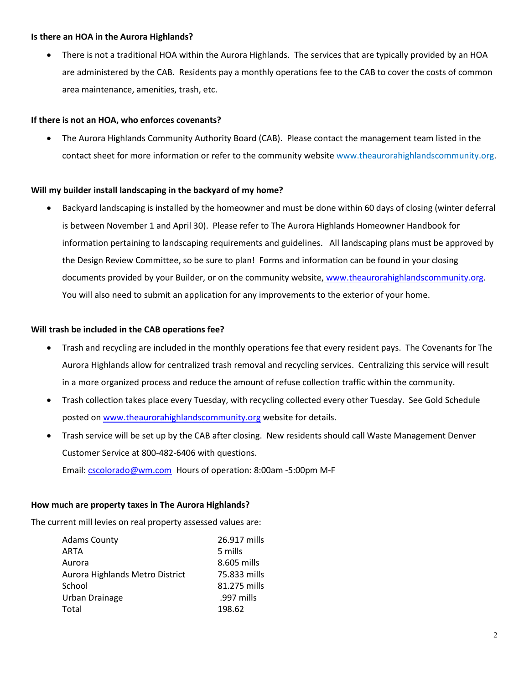#### **Is there an HOA in the Aurora Highlands?**

• There is not a traditional HOA within the Aurora Highlands. The services that are typically provided by an HOA are administered by the CAB. Residents pay a monthly operations fee to the CAB to cover the costs of common area maintenance, amenities, trash, etc.

## **If there is not an HOA, who enforces covenants?**

• The Aurora Highlands Community Authority Board (CAB). Please contact the management team listed in the contact sheet for more information or refer to the community websit[e www.thea](http://www.the/)urorahighlandscommunity.org.

## **Will my builder install landscaping in the backyard of my home?**

• Backyard landscaping is installed by the homeowner and must be done within 60 days of closing (winter deferral is between November 1 and April 30). Please refer to The Aurora Highlands Homeowner Handbook for information pertaining to landscaping requirements and guidelines. All landscaping plans must be approved by the Design Review Committee, so be sure to plan! Forms and information can be found in your closing documents provided by your Builder, or on the community website, [www.theaurorahighlandscommunity.org.](http://www.theaurorahighlandscommunity.org/) You will also need to submit an application for any improvements to the exterior of your home.

## **Will trash be included in the CAB operations fee?**

- Trash and recycling are included in the monthly operations fee that every resident pays. The Covenants for The Aurora Highlands allow for centralized trash removal and recycling services. Centralizing this service will result in a more organized process and reduce the amount of refuse collection traffic within the community.
- Trash collection takes place every Tuesday, with recycling collected every other Tuesday. See Gold Schedule posted o[n www.theaurorahighlandscommunity.org](http://www.theaurorahighlandscommunity.org/) website for details.
- Trash service will be set up by the CAB after closing. New residents should call Waste Management Denver Customer Service at 800-482-6406 with questions. Email: [cscolorado@wm.com](mailto:cscolorado@wm.com) Hours of operation: 8:00am -5:00pm M-F

## **How much are property taxes in The Aurora Highlands?**

The current mill levies on real property assessed values are:

| <b>Adams County</b>             | 26.917 mills |
|---------------------------------|--------------|
| ARTA                            | 5 mills      |
| Aurora                          | 8.605 mills  |
| Aurora Highlands Metro District | 75.833 mills |
| School                          | 81.275 mills |
| Urban Drainage                  | .997 mills   |
| Total                           | 198.62       |
|                                 |              |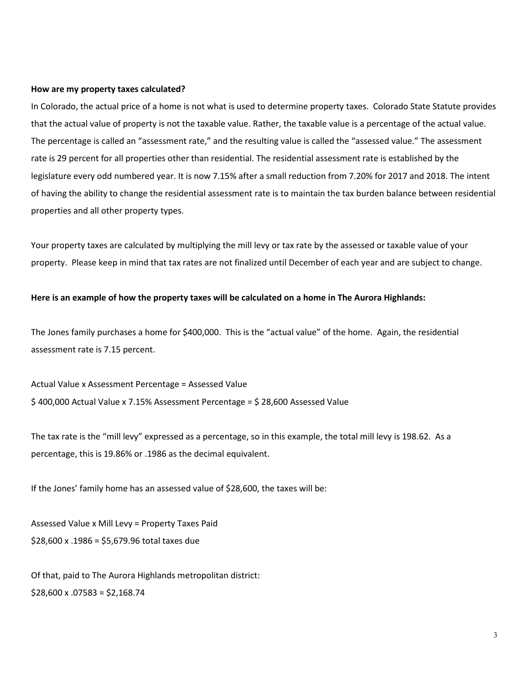#### **How are my property taxes calculated?**

In Colorado, the actual price of a home is not what is used to determine property taxes. Colorado State Statute provides that the actual value of property is not the taxable value. Rather, the taxable value is a percentage of the actual value. The percentage is called an "assessment rate," and the resulting value is called the "assessed value." The assessment rate is 29 percent for all properties other than residential. The residential assessment rate is established by the legislature every odd numbered year. It is now 7.15% after a small reduction from 7.20% for 2017 and 2018. The intent of having the ability to change the residential assessment rate is to maintain the tax burden balance between residential properties and all other property types.

Your property taxes are calculated by multiplying the mill levy or tax rate by the assessed or taxable value of your property. Please keep in mind that tax rates are not finalized until December of each year and are subject to change.

#### **Here is an example of how the property taxes will be calculated on a home in The Aurora Highlands:**

The Jones family purchases a home for \$400,000. This is the "actual value" of the home. Again, the residential assessment rate is 7.15 percent.

Actual Value x Assessment Percentage = Assessed Value \$ 400,000 Actual Value x 7.15% Assessment Percentage = \$ 28,600 Assessed Value

The tax rate is the "mill levy" expressed as a percentage, so in this example, the total mill levy is 198.62. As a percentage, this is 19.86% or .1986 as the decimal equivalent.

If the Jones' family home has an assessed value of \$28,600, the taxes will be:

Assessed Value x Mill Levy = Property Taxes Paid \$28,600 x .1986 = \$5,679.96 total taxes due

Of that, paid to The Aurora Highlands metropolitan district:  $$28,600 \times .07583 = $2,168.74$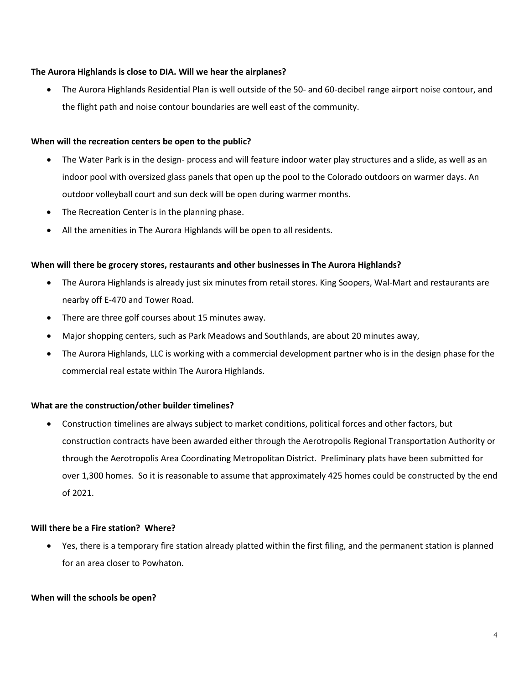#### **The Aurora Highlands is close to DIA. Will we hear the airplanes?**

• The Aurora Highlands Residential Plan is well outside of the 50- and 60-decibel range airport noise contour, and the flight path and noise contour boundaries are well east of the community.

#### **When will the recreation centers be open to the public?**

- The Water Park is in the design- process and will feature indoor water play structures and a slide, as well as an indoor pool with oversized glass panels that open up the pool to the Colorado outdoors on warmer days. An outdoor volleyball court and sun deck will be open during warmer months.
- The Recreation Center is in the planning phase.
- All the amenities in The Aurora Highlands will be open to all residents.

#### **When will there be grocery stores, restaurants and other businesses in The Aurora Highlands?**

- The Aurora Highlands is already just six minutes from retail stores. King Soopers, Wal-Mart and restaurants are nearby off E-470 and Tower Road.
- There are three golf courses about 15 minutes away.
- Major shopping centers, such as Park Meadows and Southlands, are about 20 minutes away,
- The Aurora Highlands, LLC is working with a commercial development partner who is in the design phase for the commercial real estate within The Aurora Highlands.

## **What are the construction/other builder timelines?**

• Construction timelines are always subject to market conditions, political forces and other factors, but construction contracts have been awarded either through the Aerotropolis Regional Transportation Authority or through the Aerotropolis Area Coordinating Metropolitan District. Preliminary plats have been submitted for over 1,300 homes. So it is reasonable to assume that approximately 425 homes could be constructed by the end of 2021.

#### **Will there be a Fire station? Where?**

• Yes, there is a temporary fire station already platted within the first filing, and the permanent station is planned for an area closer to Powhaton.

#### **When will the schools be open?**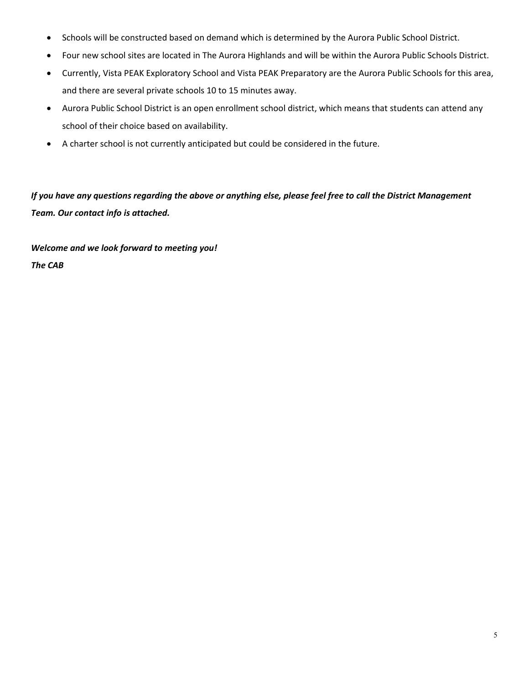- Schools will be constructed based on demand which is determined by the Aurora Public School District.
- Four new school sites are located in The Aurora Highlands and will be within the Aurora Public Schools District.
- Currently, [Vista PEAK Exploratory School](https://vistapeakexplore.aurorak12.org/) and [Vista PEAK Preparatory](https://vistapeakprep.aurorak12.org/) are the Aurora Public Schools for this area, and there are several private schools 10 to 15 minutes away.
- Aurora Public School District is an open enrollment school district, which means that students can attend any school of their choice based on availability.
- A charter school is not currently anticipated but could be considered in the future.

*If you have any questions regarding the above or anything else, please feel free to call the District Management Team. Our contact info is attached.* 

*Welcome and we look forward to meeting you! The CAB*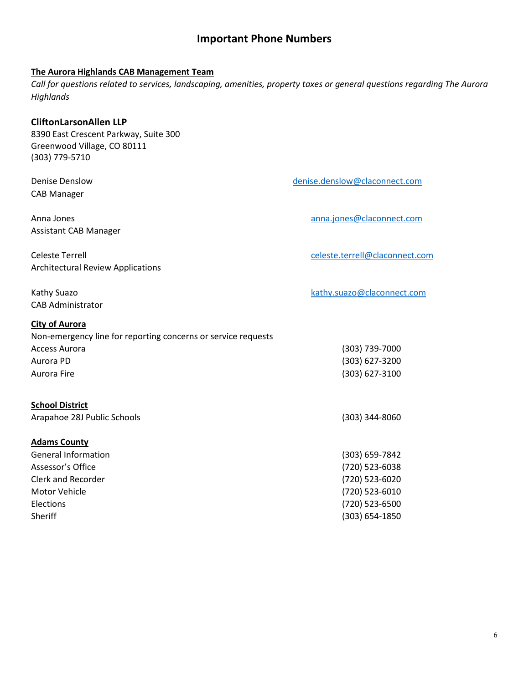## **Important Phone Numbers**

## **The Aurora Highlands CAB Management Team**

*Call for questions related to services, landscaping, amenities, property taxes or general questions regarding The Aurora Highlands*

#### **CliftonLarsonAllen LLP**

8390 East Crescent Parkway, Suite 300 Greenwood Village, CO 80111 (303) 779-5710

Denise Denslow [denise.denslow@claconnect.com](mailto:denise.denslow@claconnect.com) CAB Manager

Assistant CAB Manager

Celeste Terrell [celeste.terrell@claconnect.com](mailto:celeste.terrell@claconnect.com) Architectural Review Applications

CAB Administrator

#### **City of Aurora**

Non-emergency line for reporting concerns or service requests Access Aurora (303) 739-7000 Aurora PD (303) 627-3200 Aurora Fire (303) 627-3100

| <b>School District</b> |
|------------------------|
|                        |

Arapahoe 28J Public Schools (303) 344-8060

## **Adams County**

| <b>General Information</b> | (303) 659-7842     |
|----------------------------|--------------------|
| Assessor's Office          | (720) 523-6038     |
| Clerk and Recorder         | (720) 523-6020     |
| Motor Vehicle              | (720) 523-6010     |
| <b>Elections</b>           | (720) 523-6500     |
| Sheriff                    | $(303) 654 - 1850$ |

Anna Jones [anna.jones@claconnect.com](mailto:anna.jones@claconnect.com)

Kathy Suazo kathy.suazo kathy.suazo and halo kathy.suazo and halo kathy.suazo and halo kathy.suazo and halo kathy.suazo and halo kathy.suazo and halo kathy.suazo and halo kathy.suazo and halo kathy.suazo and halo kathy.sua